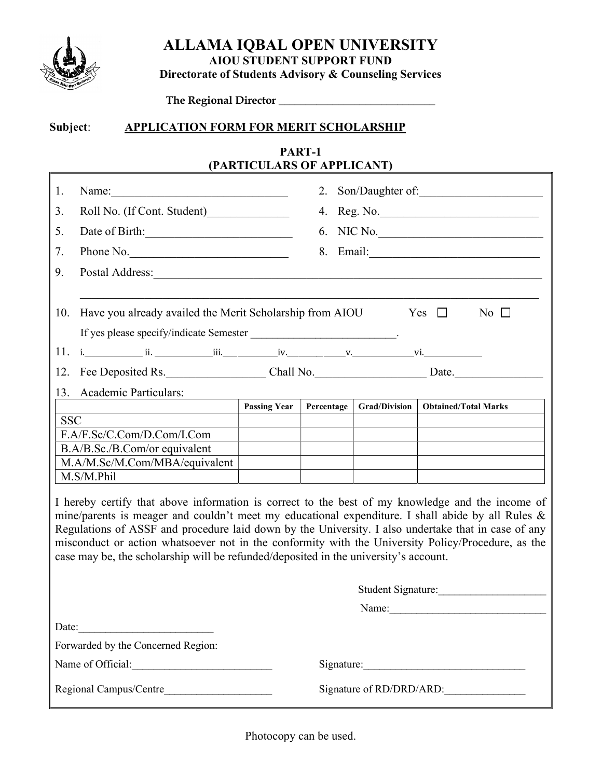

Г

ALLAMA IQBAL OPEN UNIVERSITY AIOU STUDENT SUPPORT FUND

Directorate of Students Advisory & Counseling Services

The Regional Director \_\_\_\_\_\_\_\_\_\_\_\_\_\_\_\_\_\_\_\_\_\_\_\_\_\_\_\_\_

## Subject: APPLICATION FORM FOR MERIT SCHOLARSHIP

## PART-1 (PARTICULARS OF APPLICANT)

| 1.                                                                                                                                                                                                                                                                                                                                                                                                                                                                                                         | Name:                                                    |                     | 2.         |                          |                      |            | Son/Daughter of:            |  |
|------------------------------------------------------------------------------------------------------------------------------------------------------------------------------------------------------------------------------------------------------------------------------------------------------------------------------------------------------------------------------------------------------------------------------------------------------------------------------------------------------------|----------------------------------------------------------|---------------------|------------|--------------------------|----------------------|------------|-----------------------------|--|
| 3.                                                                                                                                                                                                                                                                                                                                                                                                                                                                                                         | Roll No. (If Cont. Student)                              |                     | 4.         |                          |                      |            | Reg. No.                    |  |
| 5.                                                                                                                                                                                                                                                                                                                                                                                                                                                                                                         | Date of Birth:                                           |                     | 6.         |                          |                      |            | NIC No.                     |  |
| 7.                                                                                                                                                                                                                                                                                                                                                                                                                                                                                                         | Phone No.                                                |                     | 8.         |                          |                      |            |                             |  |
| 9.                                                                                                                                                                                                                                                                                                                                                                                                                                                                                                         | Postal Address:                                          |                     |            |                          |                      |            |                             |  |
| 10.                                                                                                                                                                                                                                                                                                                                                                                                                                                                                                        | Have you already availed the Merit Scholarship from AIOU |                     |            |                          |                      | Yes $\Box$ | No $\Box$                   |  |
|                                                                                                                                                                                                                                                                                                                                                                                                                                                                                                            |                                                          |                     |            |                          |                      |            |                             |  |
|                                                                                                                                                                                                                                                                                                                                                                                                                                                                                                            | 12. Fee Deposited Rs. Chall No. Chall No. Date.          |                     |            |                          |                      |            |                             |  |
| 13.                                                                                                                                                                                                                                                                                                                                                                                                                                                                                                        | Academic Particulars:                                    |                     |            |                          |                      |            |                             |  |
|                                                                                                                                                                                                                                                                                                                                                                                                                                                                                                            |                                                          | <b>Passing Year</b> | Percentage |                          | <b>Grad/Division</b> |            | <b>Obtained/Total Marks</b> |  |
| <b>SSC</b>                                                                                                                                                                                                                                                                                                                                                                                                                                                                                                 |                                                          |                     |            |                          |                      |            |                             |  |
|                                                                                                                                                                                                                                                                                                                                                                                                                                                                                                            | F.A/F.Sc/C.Com/D.Com/I.Com                               |                     |            |                          |                      |            |                             |  |
|                                                                                                                                                                                                                                                                                                                                                                                                                                                                                                            | B.A/B.Sc./B.Com/or equivalent                            |                     |            |                          |                      |            |                             |  |
|                                                                                                                                                                                                                                                                                                                                                                                                                                                                                                            | M.A/M.Sc/M.Com/MBA/equivalent                            |                     |            |                          |                      |            |                             |  |
|                                                                                                                                                                                                                                                                                                                                                                                                                                                                                                            | M.S/M.Phil                                               |                     |            |                          |                      |            |                             |  |
| I hereby certify that above information is correct to the best of my knowledge and the income of<br>mine/parents is meager and couldn't meet my educational expenditure. I shall abide by all Rules &<br>Regulations of ASSF and procedure laid down by the University. I also undertake that in case of any<br>misconduct or action whatsoever not in the conformity with the University Policy/Procedure, as the<br>case may be, the scholarship will be refunded/deposited in the university's account. |                                                          |                     |            |                          |                      |            |                             |  |
|                                                                                                                                                                                                                                                                                                                                                                                                                                                                                                            |                                                          |                     |            |                          |                      |            | Student Signature:          |  |
|                                                                                                                                                                                                                                                                                                                                                                                                                                                                                                            |                                                          |                     |            |                          |                      |            |                             |  |
| Date:                                                                                                                                                                                                                                                                                                                                                                                                                                                                                                      | <u> 1989 - Johann Barbara, martxa alemaniar a</u>        |                     |            |                          |                      |            |                             |  |
|                                                                                                                                                                                                                                                                                                                                                                                                                                                                                                            | Forwarded by the Concerned Region:                       |                     |            |                          |                      |            |                             |  |
|                                                                                                                                                                                                                                                                                                                                                                                                                                                                                                            | Name of Official:                                        |                     |            |                          |                      |            | Signature:                  |  |
|                                                                                                                                                                                                                                                                                                                                                                                                                                                                                                            |                                                          |                     |            | Signature of RD/DRD/ARD: |                      |            |                             |  |

Photocopy can be used.